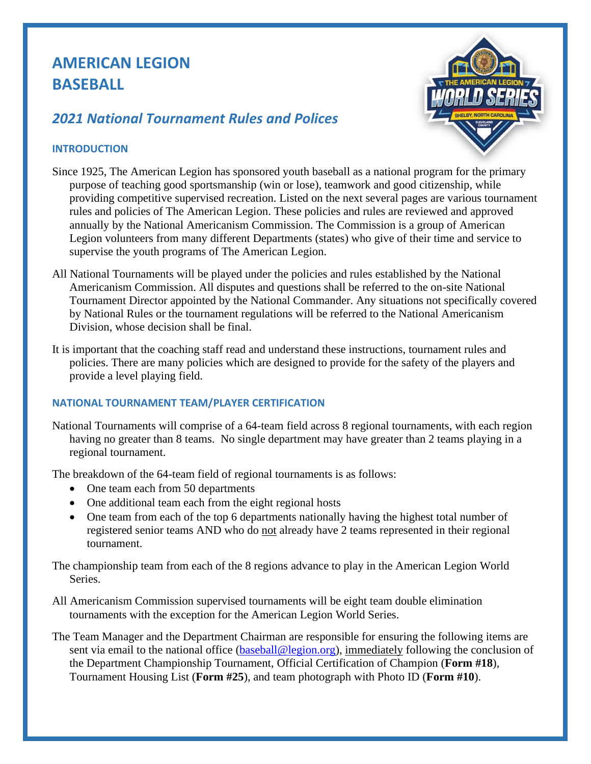# **AMERICAN LEGION BASEBALL**

# *2021 National Tournament Rules and Polices*



# **INTRODUCTION**

- Since 1925, The American Legion has sponsored youth baseball as a national program for the primary purpose of teaching good sportsmanship (win or lose), teamwork and good citizenship, while providing competitive supervised recreation. Listed on the next several pages are various tournament rules and policies of The American Legion. These policies and rules are reviewed and approved annually by the National Americanism Commission. The Commission is a group of American Legion volunteers from many different Departments (states) who give of their time and service to supervise the youth programs of The American Legion.
- All National Tournaments will be played under the policies and rules established by the National Americanism Commission. All disputes and questions shall be referred to the on-site National Tournament Director appointed by the National Commander. Any situations not specifically covered by National Rules or the tournament regulations will be referred to the National Americanism Division, whose decision shall be final.
- It is important that the coaching staff read and understand these instructions, tournament rules and policies. There are many policies which are designed to provide for the safety of the players and provide a level playing field.

# **NATIONAL TOURNAMENT TEAM/PLAYER CERTIFICATION**

National Tournaments will comprise of a 64-team field across 8 regional tournaments, with each region having no greater than 8 teams. No single department may have greater than 2 teams playing in a regional tournament.

The breakdown of the 64-team field of regional tournaments is as follows:

- One team each from 50 departments
- One additional team each from the eight regional hosts
- One team from each of the top 6 departments nationally having the highest total number of registered senior teams AND who do not already have 2 teams represented in their regional tournament.

The championship team from each of the 8 regions advance to play in the American Legion World Series.

- All Americanism Commission supervised tournaments will be eight team double elimination tournaments with the exception for the American Legion World Series.
- The Team Manager and the Department Chairman are responsible for ensuring the following items are sent via email to the national office [\(baseball@legion.org\)](mailto:baseball@legion.org), immediately following the conclusion of the Department Championship Tournament, Official Certification of Champion (**Form #18**), Tournament Housing List (**Form #25**), and team photograph with Photo ID (**Form #10**).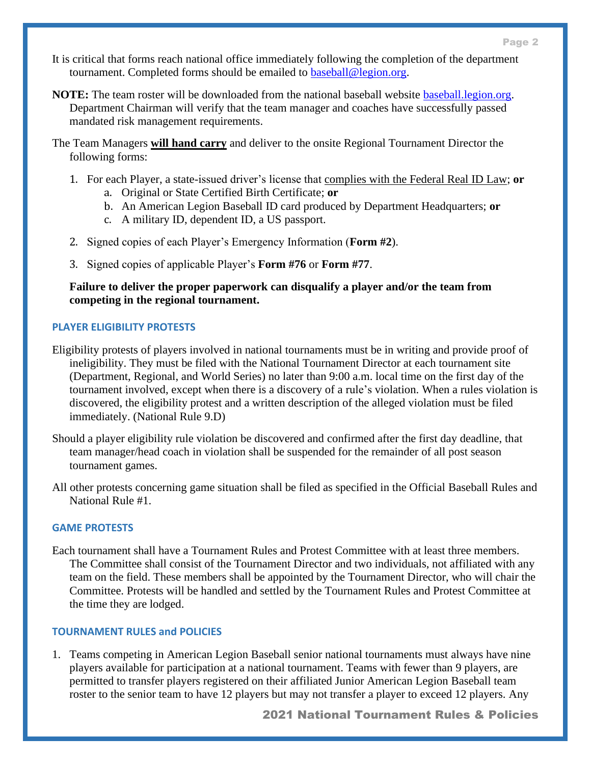- It is critical that forms reach national office immediately following the completion of the department tournament. Completed forms should be emailed to [baseball@legion.org.](mailto:baseball@legion.org)
- **NOTE:** The team roster will be downloaded from the national baseball website **baseball.legion.org.** Department Chairman will verify that the team manager and coaches have successfully passed mandated risk management requirements.
- The Team Managers **will hand carry** and deliver to the onsite Regional Tournament Director the following forms:
	- 1. For each Player, a state-issued driver's license that complies with the Federal Real ID Law; **or**
		- a. Original or State Certified Birth Certificate; **or**
		- b. An American Legion Baseball ID card produced by Department Headquarters; **or**
		- c. A military ID, dependent ID, a US passport.
	- 2. Signed copies of each Player's Emergency Information (**Form #2**).
	- 3. Signed copies of applicable Player's **Form #76** or **Form #77**.

**Failure to deliver the proper paperwork can disqualify a player and/or the team from competing in the regional tournament.** 

# **PLAYER ELIGIBILITY PROTESTS**

- Eligibility protests of players involved in national tournaments must be in writing and provide proof of ineligibility. They must be filed with the National Tournament Director at each tournament site (Department, Regional, and World Series) no later than 9:00 a.m. local time on the first day of the tournament involved, except when there is a discovery of a rule's violation. When a rules violation is discovered, the eligibility protest and a written description of the alleged violation must be filed immediately. (National Rule 9.D)
- Should a player eligibility rule violation be discovered and confirmed after the first day deadline, that team manager/head coach in violation shall be suspended for the remainder of all post season tournament games.
- All other protests concerning game situation shall be filed as specified in the Official Baseball Rules and National Rule #1.

# **GAME PROTESTS**

Each tournament shall have a Tournament Rules and Protest Committee with at least three members. The Committee shall consist of the Tournament Director and two individuals, not affiliated with any team on the field. These members shall be appointed by the Tournament Director, who will chair the Committee. Protests will be handled and settled by the Tournament Rules and Protest Committee at the time they are lodged.

# **TOURNAMENT RULES and POLICIES**

1. Teams competing in American Legion Baseball senior national tournaments must always have nine players available for participation at a national tournament. Teams with fewer than 9 players, are permitted to transfer players registered on their affiliated Junior American Legion Baseball team roster to the senior team to have 12 players but may not transfer a player to exceed 12 players. Any

2021 National Tournament Rules & Policies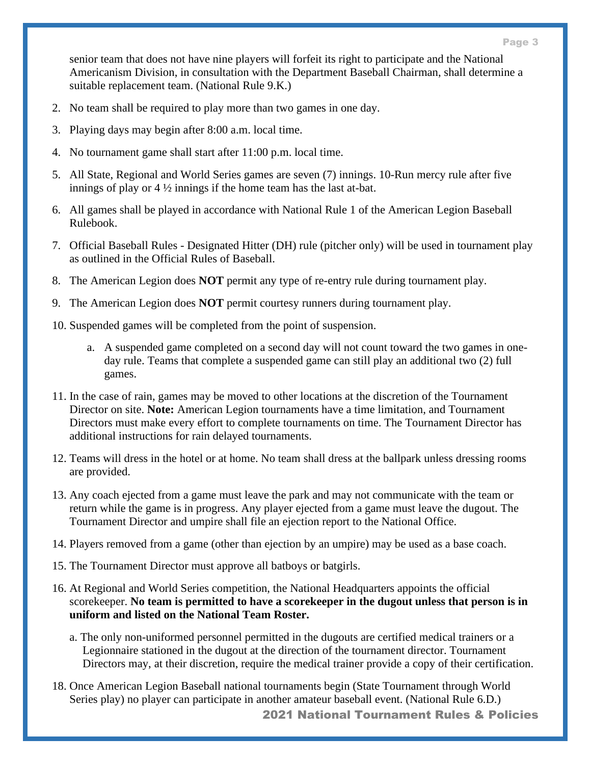senior team that does not have nine players will forfeit its right to participate and the National Americanism Division, in consultation with the Department Baseball Chairman, shall determine a suitable replacement team. (National Rule 9.K.)

- 2. No team shall be required to play more than two games in one day.
- 3. Playing days may begin after 8:00 a.m. local time.
- 4. No tournament game shall start after 11:00 p.m. local time.
- 5. All State, Regional and World Series games are seven (7) innings. 10-Run mercy rule after five innings of play or 4 ½ innings if the home team has the last at-bat.
- 6. All games shall be played in accordance with National Rule 1 of the American Legion Baseball Rulebook.
- 7. Official Baseball Rules Designated Hitter (DH) rule (pitcher only) will be used in tournament play as outlined in the Official Rules of Baseball.
- 8. The American Legion does **NOT** permit any type of re-entry rule during tournament play.
- 9. The American Legion does **NOT** permit courtesy runners during tournament play.
- 10. Suspended games will be completed from the point of suspension.
	- a. A suspended game completed on a second day will not count toward the two games in oneday rule. Teams that complete a suspended game can still play an additional two (2) full games.
- 11. In the case of rain, games may be moved to other locations at the discretion of the Tournament Director on site. **Note:** American Legion tournaments have a time limitation, and Tournament Directors must make every effort to complete tournaments on time. The Tournament Director has additional instructions for rain delayed tournaments.
- 12. Teams will dress in the hotel or at home. No team shall dress at the ballpark unless dressing rooms are provided.
- 13. Any coach ejected from a game must leave the park and may not communicate with the team or return while the game is in progress. Any player ejected from a game must leave the dugout. The Tournament Director and umpire shall file an ejection report to the National Office.
- 14. Players removed from a game (other than ejection by an umpire) may be used as a base coach.
- 15. The Tournament Director must approve all batboys or batgirls.
- 16. At Regional and World Series competition, the National Headquarters appoints the official scorekeeper. **No team is permitted to have a scorekeeper in the dugout unless that person is in uniform and listed on the National Team Roster.**
	- a. The only non-uniformed personnel permitted in the dugouts are certified medical trainers or a Legionnaire stationed in the dugout at the direction of the tournament director. Tournament Directors may, at their discretion, require the medical trainer provide a copy of their certification.
- 2021 National Tournament Rules & Policies 18. Once American Legion Baseball national tournaments begin (State Tournament through World Series play) no player can participate in another amateur baseball event. (National Rule 6.D.)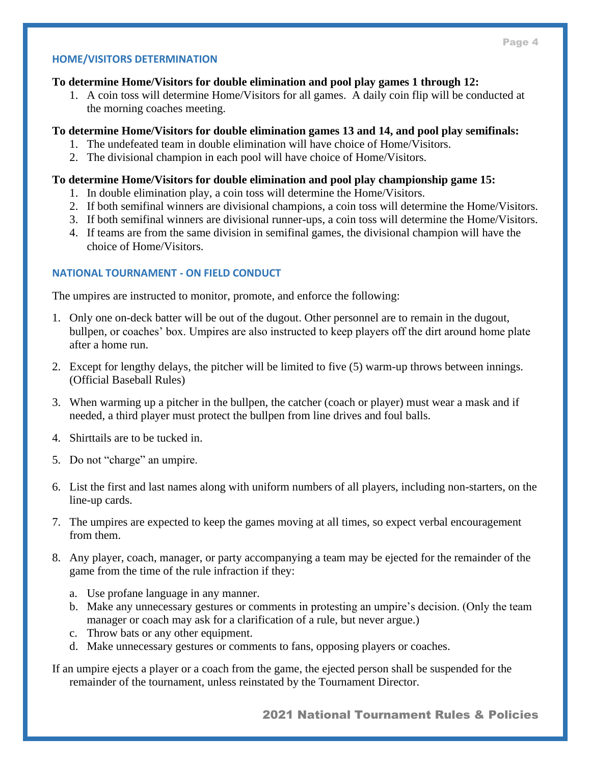#### **HOME/VISITORS DETERMINATION**

#### **To determine Home/Visitors for double elimination and pool play games 1 through 12:**

1. A coin toss will determine Home/Visitors for all games. A daily coin flip will be conducted at the morning coaches meeting.

### **To determine Home/Visitors for double elimination games 13 and 14, and pool play semifinals:**

- 1. The undefeated team in double elimination will have choice of Home/Visitors.
- 2. The divisional champion in each pool will have choice of Home/Visitors.

#### **To determine Home/Visitors for double elimination and pool play championship game 15:**

- 1. In double elimination play, a coin toss will determine the Home/Visitors.
- 2. If both semifinal winners are divisional champions, a coin toss will determine the Home/Visitors.
- 3. If both semifinal winners are divisional runner-ups, a coin toss will determine the Home/Visitors.
- 4. If teams are from the same division in semifinal games, the divisional champion will have the choice of Home/Visitors.

### **NATIONAL TOURNAMENT - ON FIELD CONDUCT**

The umpires are instructed to monitor, promote, and enforce the following:

- 1. Only one on-deck batter will be out of the dugout. Other personnel are to remain in the dugout, bullpen, or coaches' box. Umpires are also instructed to keep players off the dirt around home plate after a home run.
- 2. Except for lengthy delays, the pitcher will be limited to five (5) warm-up throws between innings. (Official Baseball Rules)
- 3. When warming up a pitcher in the bullpen, the catcher (coach or player) must wear a mask and if needed, a third player must protect the bullpen from line drives and foul balls.
- 4. Shirttails are to be tucked in.
- 5. Do not "charge" an umpire.
- 6. List the first and last names along with uniform numbers of all players, including non-starters, on the line-up cards.
- 7. The umpires are expected to keep the games moving at all times, so expect verbal encouragement from them.
- 8. Any player, coach, manager, or party accompanying a team may be ejected for the remainder of the game from the time of the rule infraction if they:
	- a. Use profane language in any manner.
	- b. Make any unnecessary gestures or comments in protesting an umpire's decision. (Only the team manager or coach may ask for a clarification of a rule, but never argue.)
	- c. Throw bats or any other equipment.
	- d. Make unnecessary gestures or comments to fans, opposing players or coaches.

If an umpire ejects a player or a coach from the game, the ejected person shall be suspended for the remainder of the tournament, unless reinstated by the Tournament Director.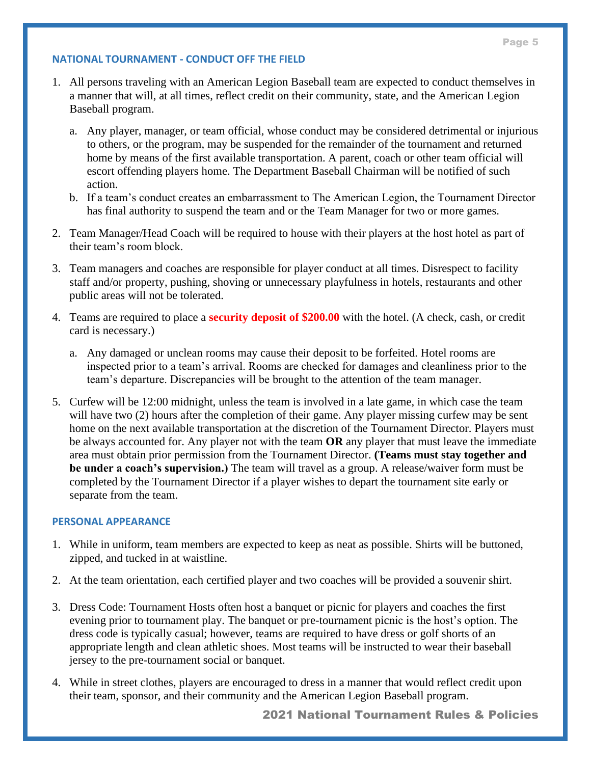#### **NATIONAL TOURNAMENT - CONDUCT OFF THE FIELD**

- 1. All persons traveling with an American Legion Baseball team are expected to conduct themselves in a manner that will, at all times, reflect credit on their community, state, and the American Legion Baseball program.
	- a. Any player, manager, or team official, whose conduct may be considered detrimental or injurious to others, or the program, may be suspended for the remainder of the tournament and returned home by means of the first available transportation. A parent, coach or other team official will escort offending players home. The Department Baseball Chairman will be notified of such action.
	- b. If a team's conduct creates an embarrassment to The American Legion, the Tournament Director has final authority to suspend the team and or the Team Manager for two or more games.
- 2. Team Manager/Head Coach will be required to house with their players at the host hotel as part of their team's room block.
- 3. Team managers and coaches are responsible for player conduct at all times. Disrespect to facility staff and/or property, pushing, shoving or unnecessary playfulness in hotels, restaurants and other public areas will not be tolerated.
- 4. Teams are required to place a **security deposit of \$200.00** with the hotel. (A check, cash, or credit card is necessary.)
	- a. Any damaged or unclean rooms may cause their deposit to be forfeited. Hotel rooms are inspected prior to a team's arrival. Rooms are checked for damages and cleanliness prior to the team's departure. Discrepancies will be brought to the attention of the team manager.
- 5. Curfew will be 12:00 midnight, unless the team is involved in a late game, in which case the team will have two (2) hours after the completion of their game. Any player missing curfew may be sent home on the next available transportation at the discretion of the Tournament Director. Players must be always accounted for. Any player not with the team **OR** any player that must leave the immediate area must obtain prior permission from the Tournament Director. **(Teams must stay together and be under a coach's supervision.)** The team will travel as a group. A release/waiver form must be completed by the Tournament Director if a player wishes to depart the tournament site early or separate from the team.

#### **PERSONAL APPEARANCE**

- 1. While in uniform, team members are expected to keep as neat as possible. Shirts will be buttoned, zipped, and tucked in at waistline.
- 2. At the team orientation, each certified player and two coaches will be provided a souvenir shirt.
- 3. Dress Code: Tournament Hosts often host a banquet or picnic for players and coaches the first evening prior to tournament play. The banquet or pre-tournament picnic is the host's option. The dress code is typically casual; however, teams are required to have dress or golf shorts of an appropriate length and clean athletic shoes. Most teams will be instructed to wear their baseball jersey to the pre-tournament social or banquet.
- 4. While in street clothes, players are encouraged to dress in a manner that would reflect credit upon their team, sponsor, and their community and the American Legion Baseball program.

2021 National Tournament Rules & Policies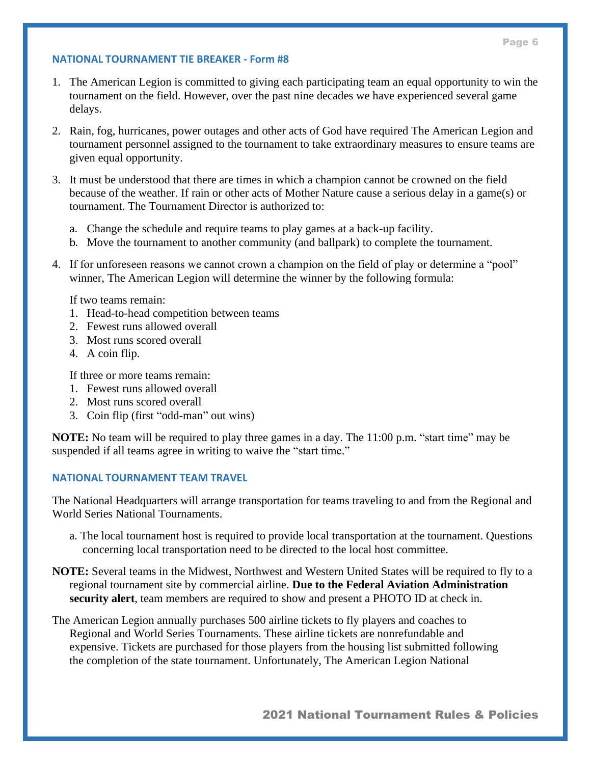#### **NATIONAL TOURNAMENT TIE BREAKER - Form #8**

- 1. The American Legion is committed to giving each participating team an equal opportunity to win the tournament on the field. However, over the past nine decades we have experienced several game delays.
- 2. Rain, fog, hurricanes, power outages and other acts of God have required The American Legion and tournament personnel assigned to the tournament to take extraordinary measures to ensure teams are given equal opportunity.
- 3. It must be understood that there are times in which a champion cannot be crowned on the field because of the weather. If rain or other acts of Mother Nature cause a serious delay in a game(s) or tournament. The Tournament Director is authorized to:
	- a. Change the schedule and require teams to play games at a back-up facility.
	- b. Move the tournament to another community (and ballpark) to complete the tournament.
- 4. If for unforeseen reasons we cannot crown a champion on the field of play or determine a "pool" winner, The American Legion will determine the winner by the following formula:

If two teams remain:

- 1. Head-to-head competition between teams
- 2. Fewest runs allowed overall
- 3. Most runs scored overall
- 4. A coin flip.

If three or more teams remain:

- 1. Fewest runs allowed overall
- 2. Most runs scored overall
- 3. Coin flip (first "odd-man" out wins)

**NOTE:** No team will be required to play three games in a day. The 11:00 p.m. "start time" may be suspended if all teams agree in writing to waive the "start time."

#### **NATIONAL TOURNAMENT TEAM TRAVEL**

The National Headquarters will arrange transportation for teams traveling to and from the Regional and World Series National Tournaments.

- a. The local tournament host is required to provide local transportation at the tournament. Questions concerning local transportation need to be directed to the local host committee.
- **NOTE:** Several teams in the Midwest, Northwest and Western United States will be required to fly to a regional tournament site by commercial airline. **Due to the Federal Aviation Administration security alert**, team members are required to show and present a PHOTO ID at check in.
- The American Legion annually purchases 500 airline tickets to fly players and coaches to Regional and World Series Tournaments. These airline tickets are nonrefundable and expensive. Tickets are purchased for those players from the housing list submitted following the completion of the state tournament. Unfortunately, The American Legion National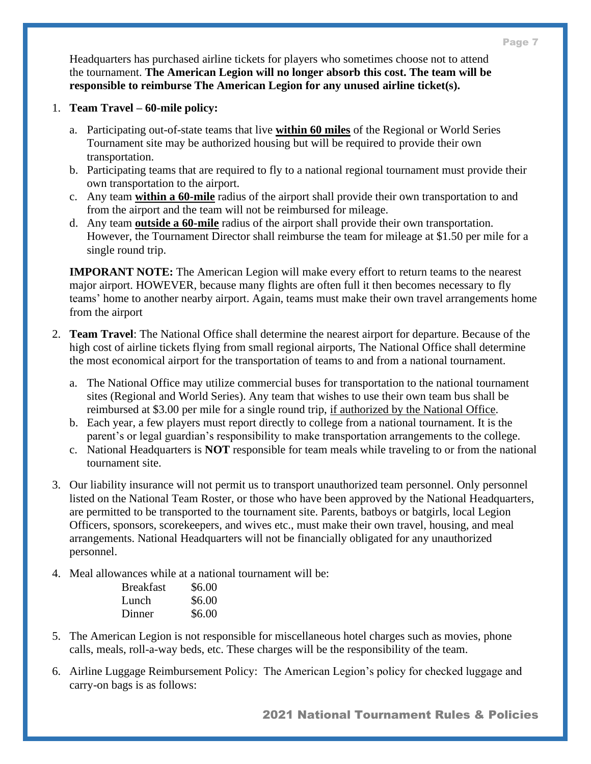Headquarters has purchased airline tickets for players who sometimes choose not to attend the tournament. **The American Legion will no longer absorb this cost. The team will be responsible to reimburse The American Legion for any unused airline ticket(s).**

- 1. **Team Travel – 60-mile policy:** 
	- a. Participating out-of-state teams that live **within 60 miles** of the Regional or World Series Tournament site may be authorized housing but will be required to provide their own transportation.
	- b. Participating teams that are required to fly to a national regional tournament must provide their own transportation to the airport.
	- c. Any team **within a 60-mile** radius of the airport shall provide their own transportation to and from the airport and the team will not be reimbursed for mileage.
	- d. Any team **outside a 60-mile** radius of the airport shall provide their own transportation. However, the Tournament Director shall reimburse the team for mileage at \$1.50 per mile for a single round trip.

**IMPORANT NOTE:** The American Legion will make every effort to return teams to the nearest major airport. HOWEVER, because many flights are often full it then becomes necessary to fly teams' home to another nearby airport. Again, teams must make their own travel arrangements home from the airport

- 2. **Team Travel**: The National Office shall determine the nearest airport for departure. Because of the high cost of airline tickets flying from small regional airports, The National Office shall determine the most economical airport for the transportation of teams to and from a national tournament.
	- a. The National Office may utilize commercial buses for transportation to the national tournament sites (Regional and World Series). Any team that wishes to use their own team bus shall be reimbursed at \$3.00 per mile for a single round trip, if authorized by the National Office.
	- b. Each year, a few players must report directly to college from a national tournament. It is the parent's or legal guardian's responsibility to make transportation arrangements to the college.
	- c. National Headquarters is **NOT** responsible for team meals while traveling to or from the national tournament site.
- 3. Our liability insurance will not permit us to transport unauthorized team personnel. Only personnel listed on the National Team Roster, or those who have been approved by the National Headquarters, are permitted to be transported to the tournament site. Parents, batboys or batgirls, local Legion Officers, sponsors, scorekeepers, and wives etc., must make their own travel, housing, and meal arrangements. National Headquarters will not be financially obligated for any unauthorized personnel.
- 4. Meal allowances while at a national tournament will be:

| <b>Breakfast</b> | \$6.00 |
|------------------|--------|
| Lunch            | \$6.00 |
| Dinner           | \$6.00 |

- 5. The American Legion is not responsible for miscellaneous hotel charges such as movies, phone calls, meals, roll-a-way beds, etc. These charges will be the responsibility of the team.
- 6. Airline Luggage Reimbursement Policy:The American Legion's policy for checked luggage and carry-on bags is as follows:

2021 National Tournament Rules & Policies